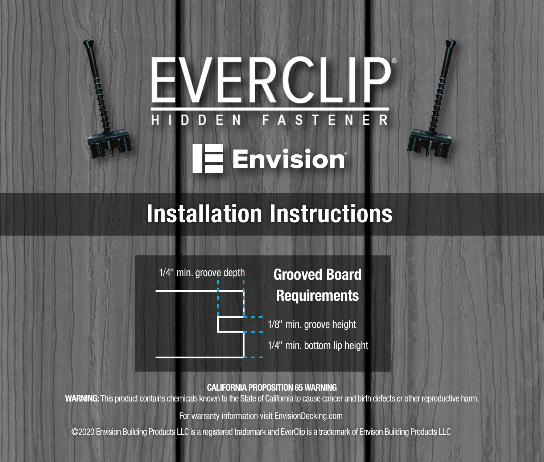## RCILI **NER**  $\mathbf{s}$ EI A **Envision**

# Installation Instructions



CALIFORNIA PROPOSITION 65 WARNING

WARNING: This product contains chemicals known to the State of California to cause cancer and birth defects or other reproductive harm.

For warranty information visit EnvisionDecking.com

© 2020 Envision Building Products LLC is a registered trademark and EverClip is a trademark of Envison Building Products LLC